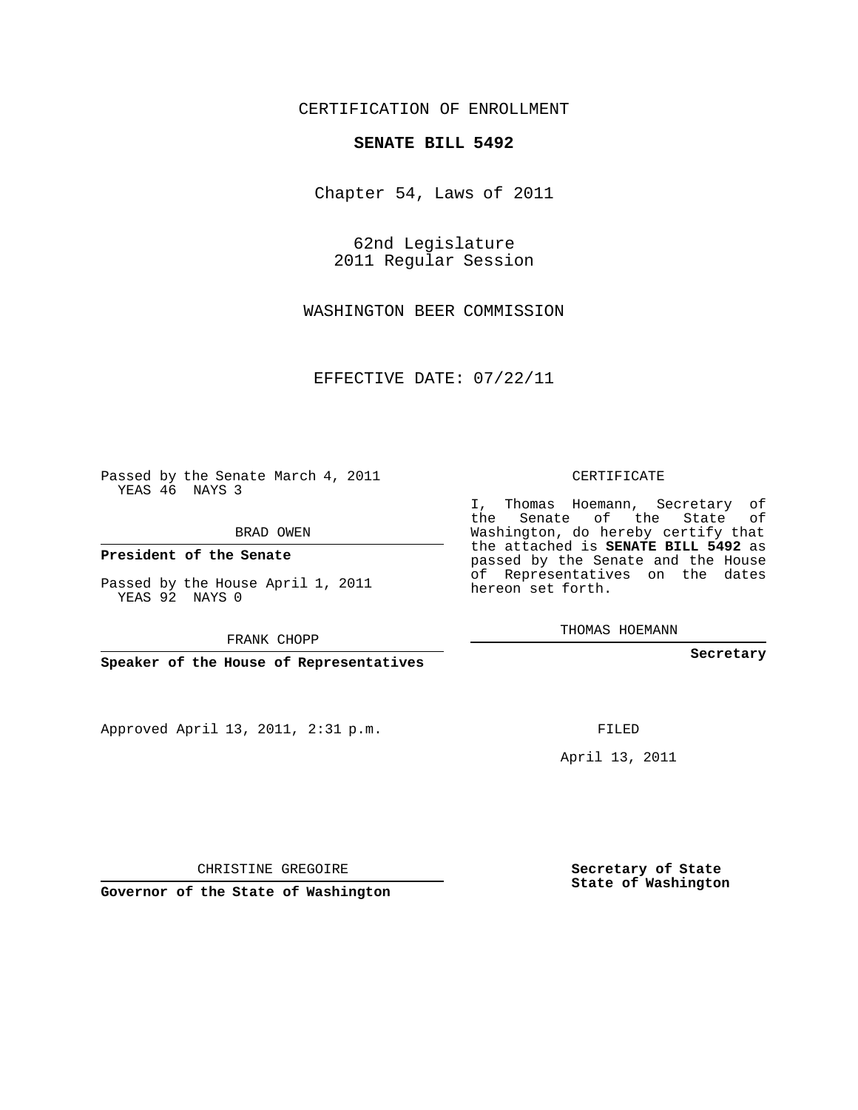## CERTIFICATION OF ENROLLMENT

## **SENATE BILL 5492**

Chapter 54, Laws of 2011

62nd Legislature 2011 Regular Session

WASHINGTON BEER COMMISSION

EFFECTIVE DATE: 07/22/11

Passed by the Senate March 4, 2011 YEAS 46 NAYS 3

BRAD OWEN

**President of the Senate**

Passed by the House April 1, 2011 YEAS 92 NAYS 0

FRANK CHOPP

**Speaker of the House of Representatives**

Approved April 13, 2011, 2:31 p.m.

CERTIFICATE

I, Thomas Hoemann, Secretary of the Senate of the State of Washington, do hereby certify that the attached is **SENATE BILL 5492** as passed by the Senate and the House of Representatives on the dates hereon set forth.

THOMAS HOEMANN

**Secretary**

FILED

April 13, 2011

CHRISTINE GREGOIRE

**Governor of the State of Washington**

**Secretary of State State of Washington**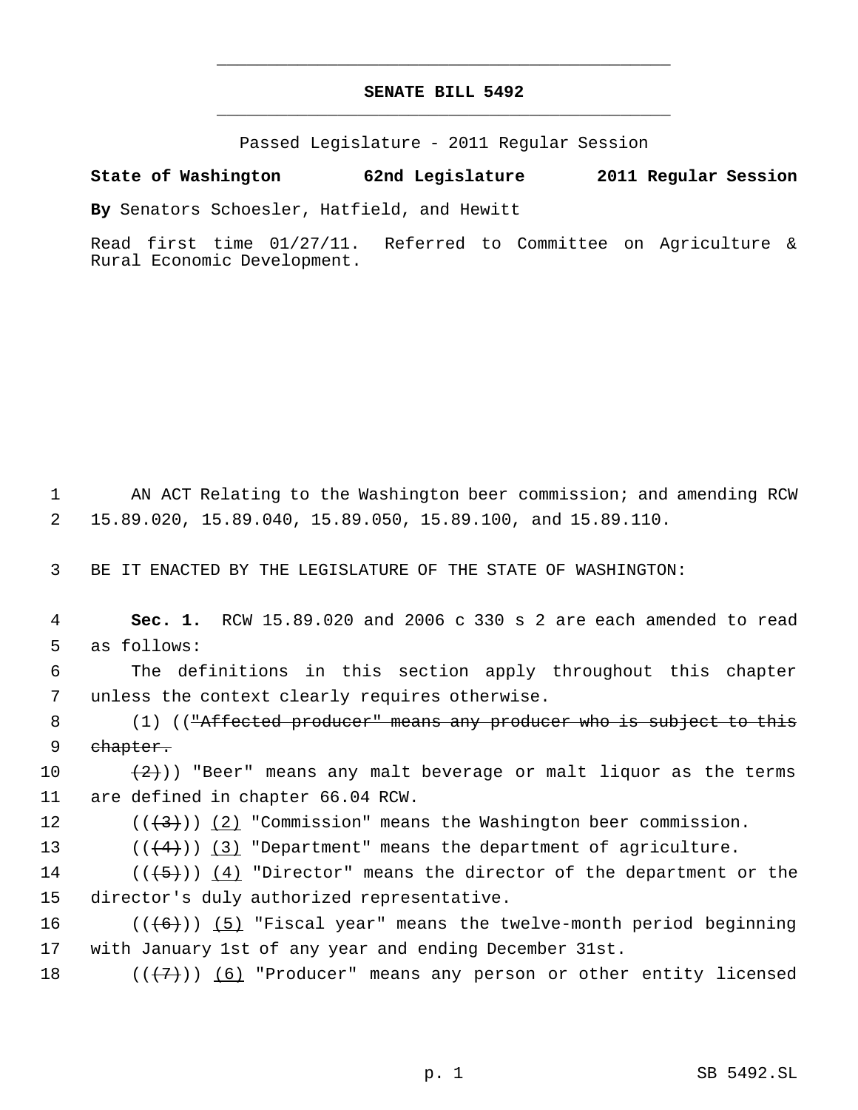## **SENATE BILL 5492** \_\_\_\_\_\_\_\_\_\_\_\_\_\_\_\_\_\_\_\_\_\_\_\_\_\_\_\_\_\_\_\_\_\_\_\_\_\_\_\_\_\_\_\_\_

\_\_\_\_\_\_\_\_\_\_\_\_\_\_\_\_\_\_\_\_\_\_\_\_\_\_\_\_\_\_\_\_\_\_\_\_\_\_\_\_\_\_\_\_\_

Passed Legislature - 2011 Regular Session

## **State of Washington 62nd Legislature 2011 Regular Session**

**By** Senators Schoesler, Hatfield, and Hewitt

Read first time 01/27/11. Referred to Committee on Agriculture & Rural Economic Development.

 1 AN ACT Relating to the Washington beer commission; and amending RCW 2 15.89.020, 15.89.040, 15.89.050, 15.89.100, and 15.89.110.

3 BE IT ENACTED BY THE LEGISLATURE OF THE STATE OF WASHINGTON:

 4 **Sec. 1.** RCW 15.89.020 and 2006 c 330 s 2 are each amended to read 5 as follows:

 6 The definitions in this section apply throughout this chapter 7 unless the context clearly requires otherwise.

8 (1) ((<del>"Affected producer" means any producer who is subject to this</del> 9 ehapter.

10  $(2)$ )) "Beer" means any malt beverage or malt liquor as the terms 11 are defined in chapter 66.04 RCW.

12  $((\langle 3 \rangle)(2)$  "Commission" means the Washington beer commission.

13  $((4+))$   $(3)$  "Department" means the department of agriculture.

14 ( $(\overline{\{+5\}})$ )  $\underline{(4)}$  "Director" means the director of the department or the 15 director's duly authorized representative.

16  $((+6))$   $(5)$  "Fiscal year" means the twelve-month period beginning 17 with January 1st of any year and ending December 31st.

18  $((\langle 7 \rangle)(6)$  "Producer" means any person or other entity licensed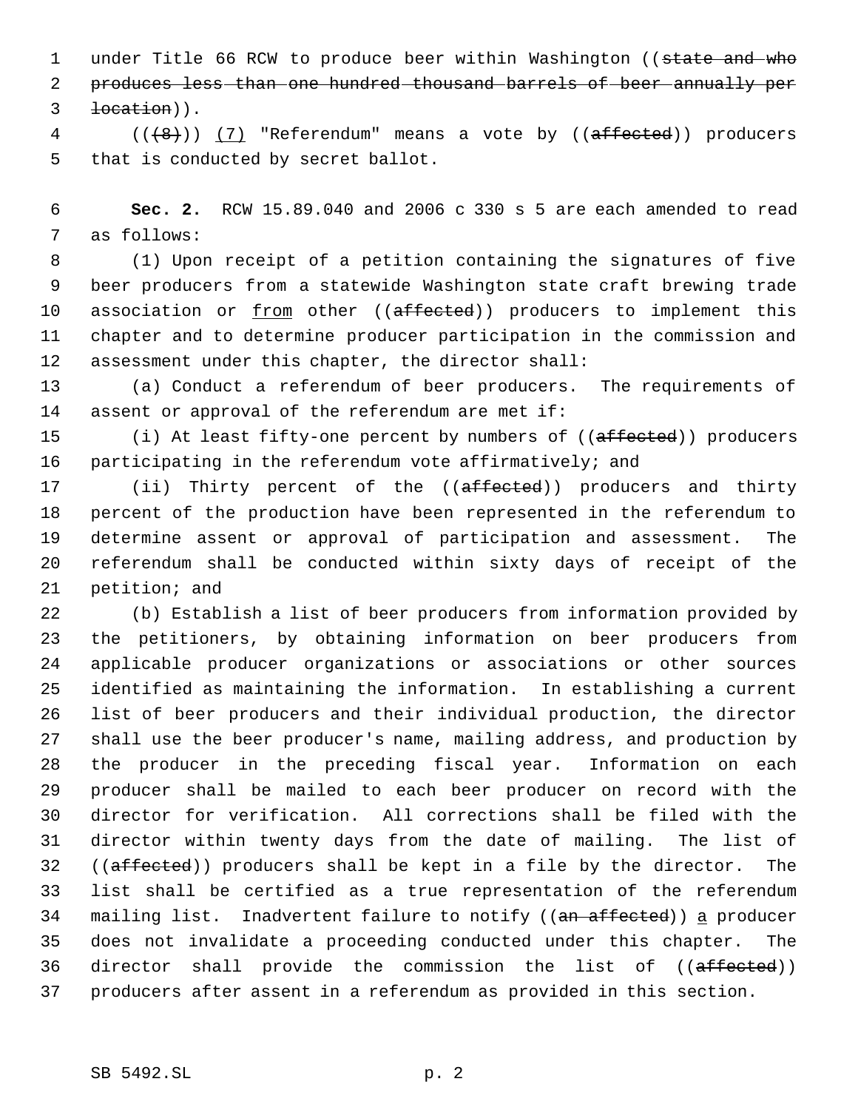1 under Title 66 RCW to produce beer within Washington ((state and who produces less than one hundred thousand barrels of beer annually per location)).

 ( $(\{8\})$ )  $(7)$  "Referendum" means a vote by ((affected)) producers that is conducted by secret ballot.

 **Sec. 2.** RCW 15.89.040 and 2006 c 330 s 5 are each amended to read as follows:

 (1) Upon receipt of a petition containing the signatures of five beer producers from a statewide Washington state craft brewing trade 10 association or from other ((affected)) producers to implement this chapter and to determine producer participation in the commission and assessment under this chapter, the director shall:

 (a) Conduct a referendum of beer producers. The requirements of assent or approval of the referendum are met if:

15 (i) At least fifty-one percent by numbers of ((affected)) producers participating in the referendum vote affirmatively; and

17 (ii) Thirty percent of the ((affected)) producers and thirty percent of the production have been represented in the referendum to determine assent or approval of participation and assessment. The referendum shall be conducted within sixty days of receipt of the petition; and

 (b) Establish a list of beer producers from information provided by the petitioners, by obtaining information on beer producers from applicable producer organizations or associations or other sources identified as maintaining the information. In establishing a current list of beer producers and their individual production, the director shall use the beer producer's name, mailing address, and production by the producer in the preceding fiscal year. Information on each producer shall be mailed to each beer producer on record with the director for verification. All corrections shall be filed with the director within twenty days from the date of mailing. The list of 32 ((affected)) producers shall be kept in a file by the director. The list shall be certified as a true representation of the referendum 34 mailing list. Inadvertent failure to notify ((an affected)) a producer does not invalidate a proceeding conducted under this chapter. The 36 director shall provide the commission the list of ((affected)) producers after assent in a referendum as provided in this section.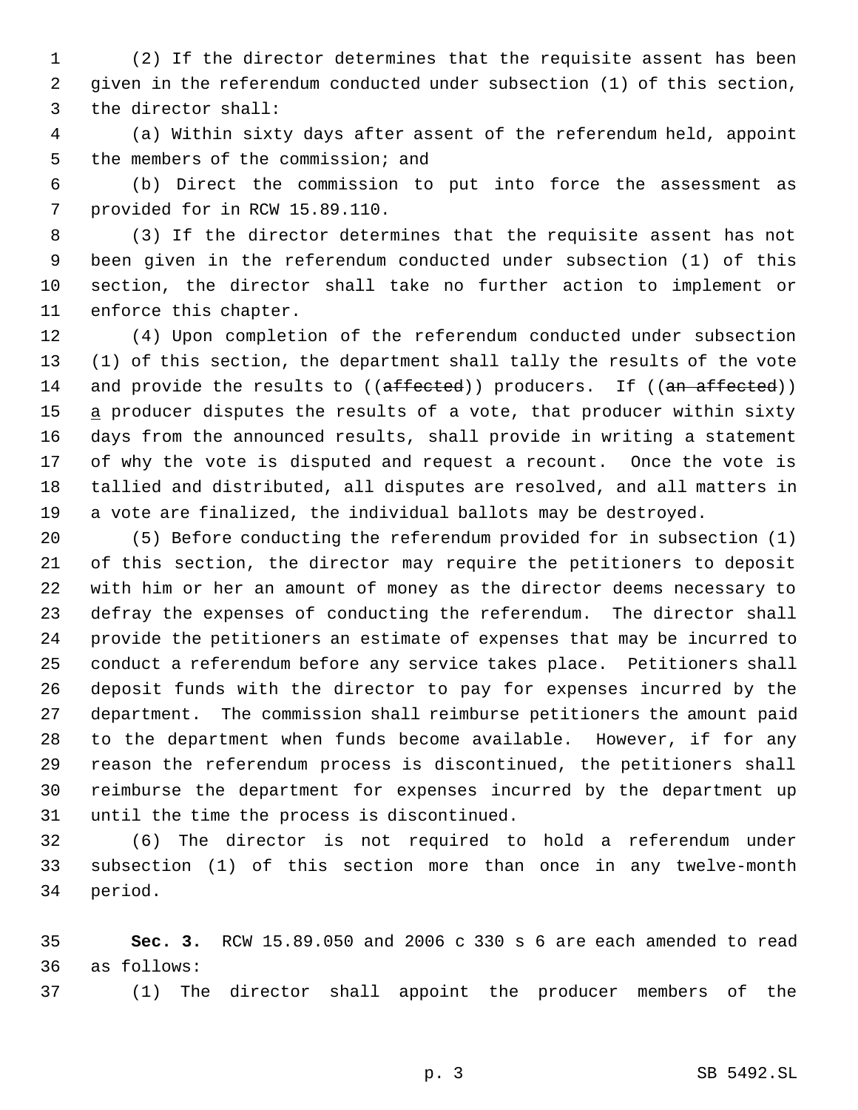(2) If the director determines that the requisite assent has been given in the referendum conducted under subsection (1) of this section, the director shall:

 (a) Within sixty days after assent of the referendum held, appoint the members of the commission; and

 (b) Direct the commission to put into force the assessment as provided for in RCW 15.89.110.

 (3) If the director determines that the requisite assent has not been given in the referendum conducted under subsection (1) of this section, the director shall take no further action to implement or enforce this chapter.

 (4) Upon completion of the referendum conducted under subsection (1) of this section, the department shall tally the results of the vote 14 and provide the results to ((affected)) producers. If ((an affected)) 15 a producer disputes the results of a vote, that producer within sixty days from the announced results, shall provide in writing a statement of why the vote is disputed and request a recount. Once the vote is tallied and distributed, all disputes are resolved, and all matters in a vote are finalized, the individual ballots may be destroyed.

 (5) Before conducting the referendum provided for in subsection (1) of this section, the director may require the petitioners to deposit with him or her an amount of money as the director deems necessary to defray the expenses of conducting the referendum. The director shall provide the petitioners an estimate of expenses that may be incurred to conduct a referendum before any service takes place. Petitioners shall deposit funds with the director to pay for expenses incurred by the department. The commission shall reimburse petitioners the amount paid to the department when funds become available. However, if for any reason the referendum process is discontinued, the petitioners shall reimburse the department for expenses incurred by the department up until the time the process is discontinued.

 (6) The director is not required to hold a referendum under subsection (1) of this section more than once in any twelve-month period.

 **Sec. 3.** RCW 15.89.050 and 2006 c 330 s 6 are each amended to read as follows:

(1) The director shall appoint the producer members of the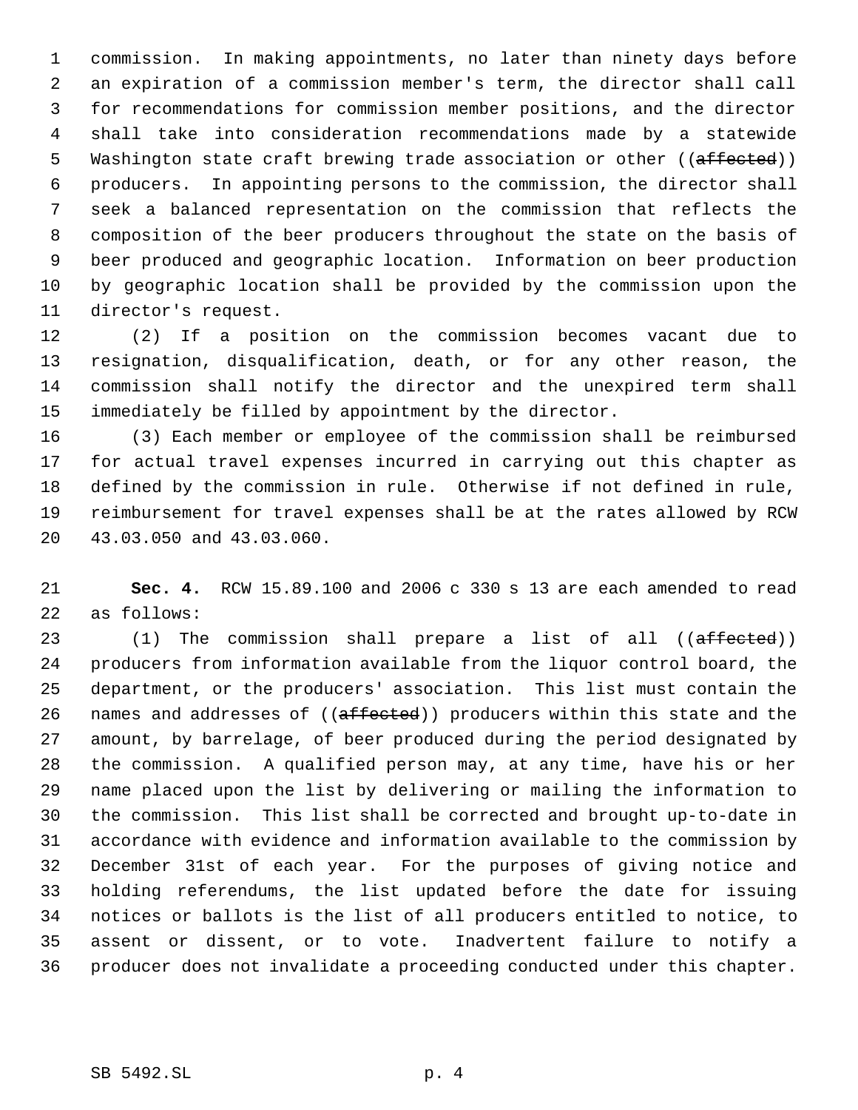commission. In making appointments, no later than ninety days before an expiration of a commission member's term, the director shall call for recommendations for commission member positions, and the director shall take into consideration recommendations made by a statewide 5 Washington state craft brewing trade association or other ((affected)) producers. In appointing persons to the commission, the director shall seek a balanced representation on the commission that reflects the composition of the beer producers throughout the state on the basis of beer produced and geographic location. Information on beer production by geographic location shall be provided by the commission upon the director's request.

 (2) If a position on the commission becomes vacant due to resignation, disqualification, death, or for any other reason, the commission shall notify the director and the unexpired term shall immediately be filled by appointment by the director.

 (3) Each member or employee of the commission shall be reimbursed for actual travel expenses incurred in carrying out this chapter as defined by the commission in rule. Otherwise if not defined in rule, reimbursement for travel expenses shall be at the rates allowed by RCW 43.03.050 and 43.03.060.

 **Sec. 4.** RCW 15.89.100 and 2006 c 330 s 13 are each amended to read as follows:

23 (1) The commission shall prepare a list of all ((affected)) producers from information available from the liquor control board, the department, or the producers' association. This list must contain the 26 names and addresses of ((affected)) producers within this state and the amount, by barrelage, of beer produced during the period designated by the commission. A qualified person may, at any time, have his or her name placed upon the list by delivering or mailing the information to the commission. This list shall be corrected and brought up-to-date in accordance with evidence and information available to the commission by December 31st of each year. For the purposes of giving notice and holding referendums, the list updated before the date for issuing notices or ballots is the list of all producers entitled to notice, to assent or dissent, or to vote. Inadvertent failure to notify a producer does not invalidate a proceeding conducted under this chapter.